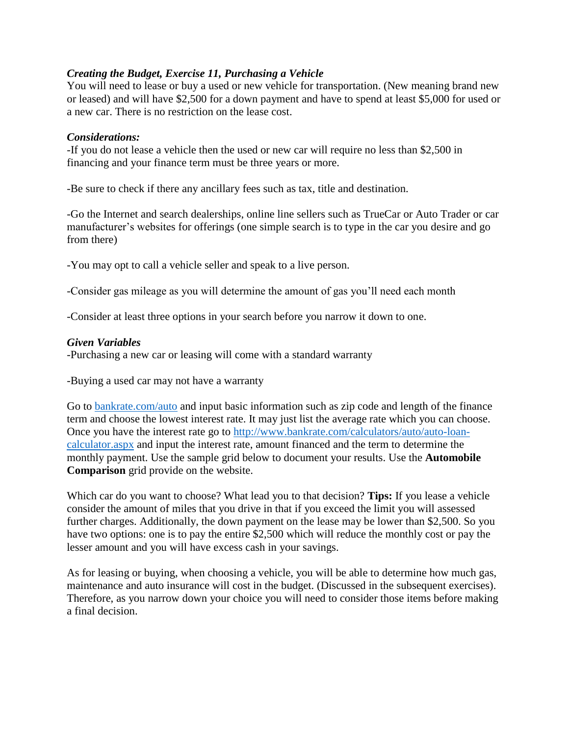## *Creating the Budget, Exercise 11, Purchasing a Vehicle*

You will need to lease or buy a used or new vehicle for transportation. (New meaning brand new or leased) and will have \$2,500 for a down payment and have to spend at least \$5,000 for used or a new car. There is no restriction on the lease cost.

## *Considerations:*

-If you do not lease a vehicle then the used or new car will require no less than \$2,500 in financing and your finance term must be three years or more.

-Be sure to check if there any ancillary fees such as tax, title and destination.

-Go the Internet and search dealerships, online line sellers such as TrueCar or Auto Trader or car manufacturer's websites for offerings (one simple search is to type in the car you desire and go from there)

-You may opt to call a vehicle seller and speak to a live person.

-Consider gas mileage as you will determine the amount of gas you'll need each month

-Consider at least three options in your search before you narrow it down to one.

## *Given Variables*

-Purchasing a new car or leasing will come with a standard warranty

-Buying a used car may not have a warranty

Go to [bankrate.com/auto](http://www.bankrate.com/auto.aspx) and input basic information such as zip code and length of the finance term and choose the lowest interest rate. It may just list the average rate which you can choose. Once you have the interest rate go to [http://www.bankrate.com/calculators/auto/auto-loan](http://www.bankrate.com/calculators/auto/auto-loan-calculator.aspx)[calculator.aspx](http://www.bankrate.com/calculators/auto/auto-loan-calculator.aspx) and input the interest rate, amount financed and the term to determine the monthly payment. Use the sample grid below to document your results. Use the **Automobile Comparison** grid provide on the website.

Which car do you want to choose? What lead you to that decision? **Tips:** If you lease a vehicle consider the amount of miles that you drive in that if you exceed the limit you will assessed further charges. Additionally, the down payment on the lease may be lower than \$2,500. So you have two options: one is to pay the entire \$2,500 which will reduce the monthly cost or pay the lesser amount and you will have excess cash in your savings.

As for leasing or buying, when choosing a vehicle, you will be able to determine how much gas, maintenance and auto insurance will cost in the budget. (Discussed in the subsequent exercises). Therefore, as you narrow down your choice you will need to consider those items before making a final decision.